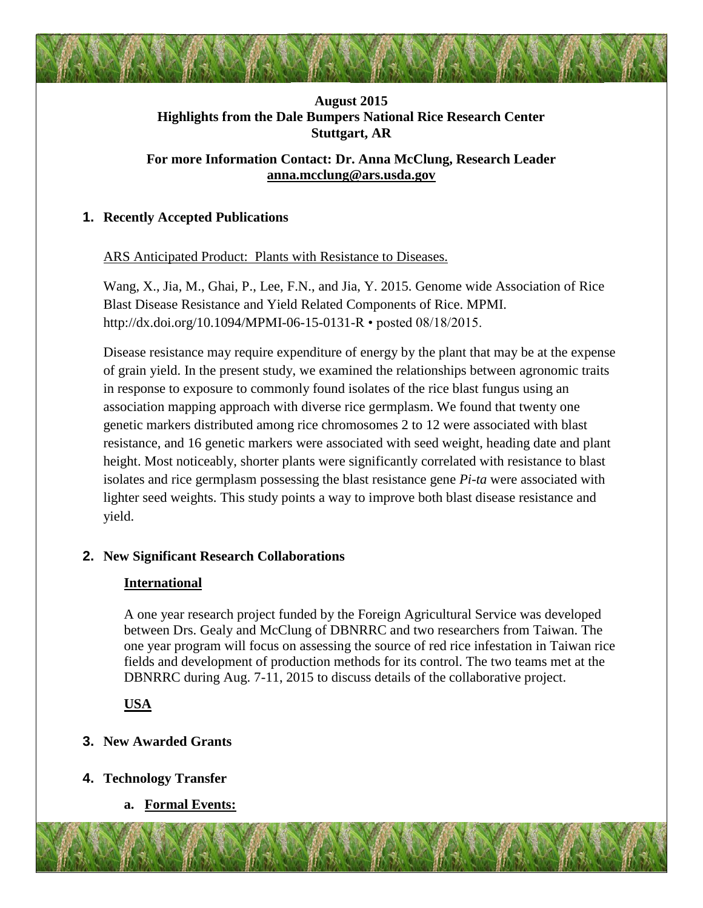# **August 2015 Highlights from the Dale Bumpers National Rice Research Center Stuttgart, AR**

# **For more Information Contact: Dr. Anna McClung, Research Leader [anna.mcclung@ars.usda.gov](mailto:anna.mcclung@ars.usda.gov)**

# **1. Recently Accepted Publications**

ARS Anticipated Product: Plants with Resistance to Diseases.

Wang, X., Jia, M., Ghai, P., Lee, F.N., and Jia, Y. 2015. Genome wide Association of Rice Blast Disease Resistance and Yield Related Components of Rice. MPMI. http://dx.doi.org/10.1094/MPMI-06-15-0131-R • posted 08/18/2015.

Disease resistance may require expenditure of energy by the plant that may be at the expense of grain yield. In the present study, we examined the relationships between agronomic traits in response to exposure to commonly found isolates of the rice blast fungus using an association mapping approach with diverse rice germplasm. We found that twenty one genetic markers distributed among rice chromosomes 2 to 12 were associated with blast resistance, and 16 genetic markers were associated with seed weight, heading date and plant height. Most noticeably, shorter plants were significantly correlated with resistance to blast isolates and rice germplasm possessing the blast resistance gene *Pi-ta* were associated with lighter seed weights. This study points a way to improve both blast disease resistance and yield.

## **2. New Significant Research Collaborations**

## **International**

A one year research project funded by the Foreign Agricultural Service was developed between Drs. Gealy and McClung of DBNRRC and two researchers from Taiwan. The one year program will focus on assessing the source of red rice infestation in Taiwan rice fields and development of production methods for its control. The two teams met at the DBNRRC during Aug. 7-11, 2015 to discuss details of the collaborative project.

**USA**

# **3. New Awarded Grants**

- **4. Technology Transfer**
	- **a. Formal Events:**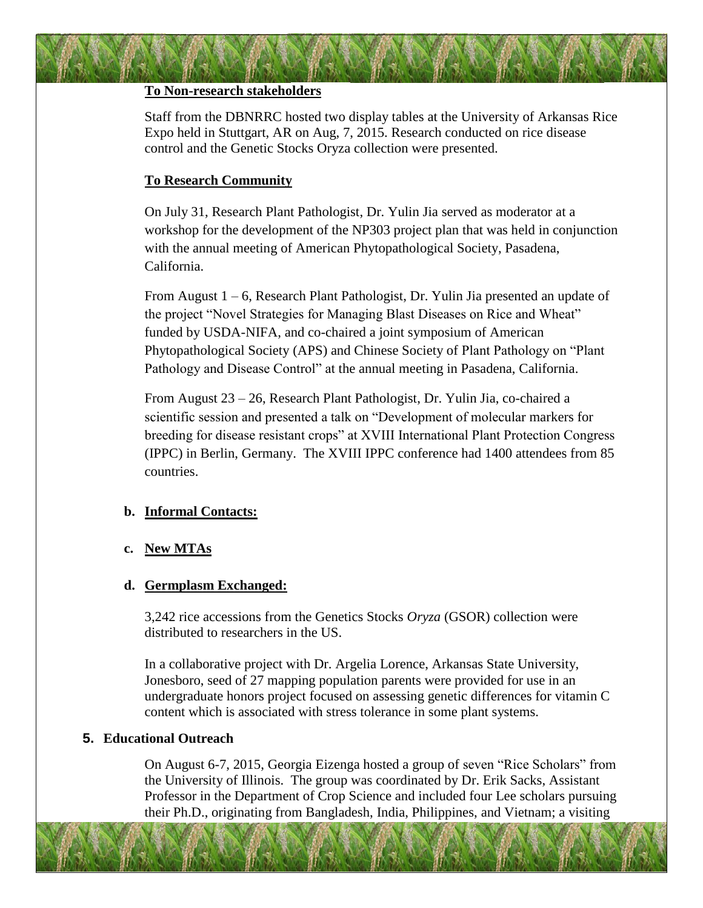#### **To Non-research stakeholders**

Staff from the DBNRRC hosted two display tables at the University of Arkansas Rice Expo held in Stuttgart, AR on Aug, 7, 2015. Research conducted on rice disease control and the Genetic Stocks Oryza collection were presented.

## **To Research Community**

On July 31, Research Plant Pathologist, Dr. Yulin Jia served as moderator at a workshop for the development of the NP303 project plan that was held in conjunction with the annual meeting of American Phytopathological Society, Pasadena, California.

From August 1 – 6, Research Plant Pathologist, Dr. Yulin Jia presented an update of the project "Novel Strategies for Managing Blast Diseases on Rice and Wheat" funded by USDA-NIFA, and co-chaired a joint symposium of American Phytopathological Society (APS) and Chinese Society of Plant Pathology on "Plant Pathology and Disease Control" at the annual meeting in Pasadena, California.

From August 23 – 26, Research Plant Pathologist, Dr. Yulin Jia, co-chaired a scientific session and presented a talk on "Development of molecular markers for breeding for disease resistant crops" at XVIII International Plant Protection Congress (IPPC) in Berlin, Germany. The XVIII IPPC conference had 1400 attendees from 85 countries.

### **b. Informal Contacts:**

## **c. New MTAs**

### **d. Germplasm Exchanged:**

3,242 rice accessions from the Genetics Stocks *Oryza* (GSOR) collection were distributed to researchers in the US.

In a collaborative project with Dr. Argelia Lorence, Arkansas State University, Jonesboro, seed of 27 mapping population parents were provided for use in an undergraduate honors project focused on assessing genetic differences for vitamin C content which is associated with stress tolerance in some plant systems.

## **5. Educational Outreach**

On August 6-7, 2015, Georgia Eizenga hosted a group of seven "Rice Scholars" from the University of Illinois. The group was coordinated by Dr. Erik Sacks, Assistant Professor in the Department of Crop Science and included four Lee scholars pursuing their Ph.D., originating from Bangladesh, India, Philippines, and Vietnam; a visiting